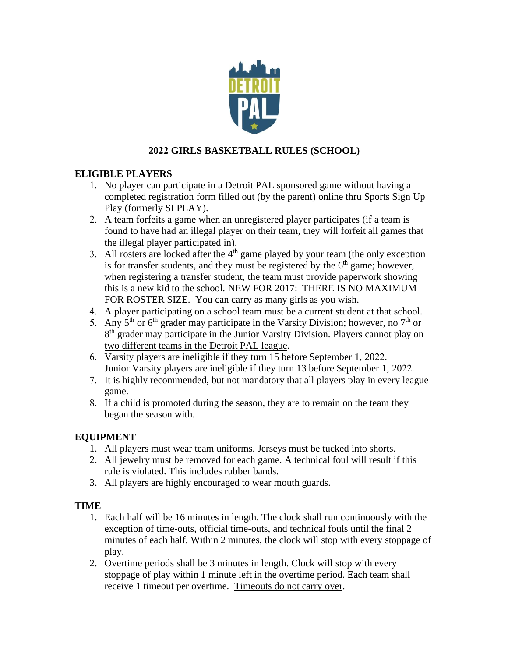

# **2022 GIRLS BASKETBALL RULES (SCHOOL)**

## **ELIGIBLE PLAYERS**

- 1. No player can participate in a Detroit PAL sponsored game without having a completed registration form filled out (by the parent) online thru Sports Sign Up Play (formerly SI PLAY).
- 2. A team forfeits a game when an unregistered player participates (if a team is found to have had an illegal player on their team, they will forfeit all games that the illegal player participated in).
- 3. All rosters are locked after the  $4<sup>th</sup>$  game played by your team (the only exception is for transfer students, and they must be registered by the  $6<sup>th</sup>$  game; however, when registering a transfer student, the team must provide paperwork showing this is a new kid to the school. NEW FOR 2017: THERE IS NO MAXIMUM FOR ROSTER SIZE. You can carry as many girls as you wish.
- 4. A player participating on a school team must be a current student at that school.
- 5. Any  $5<sup>th</sup>$  or  $6<sup>th</sup>$  grader may participate in the Varsity Division; however, no  $7<sup>th</sup>$  or 8<sup>th</sup> grader may participate in the Junior Varsity Division. Players cannot play on two different teams in the Detroit PAL league.
- 6. Varsity players are ineligible if they turn 15 before September 1, 2022. Junior Varsity players are ineligible if they turn 13 before September 1, 2022.
- 7. It is highly recommended, but not mandatory that all players play in every league game.
- 8. If a child is promoted during the season, they are to remain on the team they began the season with.

### **EQUIPMENT**

- 1. All players must wear team uniforms. Jerseys must be tucked into shorts.
- 2. All jewelry must be removed for each game. A technical foul will result if this rule is violated. This includes rubber bands.
- 3. All players are highly encouraged to wear mouth guards.

### **TIME**

- 1. Each half will be 16 minutes in length. The clock shall run continuously with the exception of time-outs, official time-outs, and technical fouls until the final 2 minutes of each half. Within 2 minutes, the clock will stop with every stoppage of play.
- 2. Overtime periods shall be 3 minutes in length. Clock will stop with every stoppage of play within 1 minute left in the overtime period. Each team shall receive 1 timeout per overtime. Timeouts do not carry over.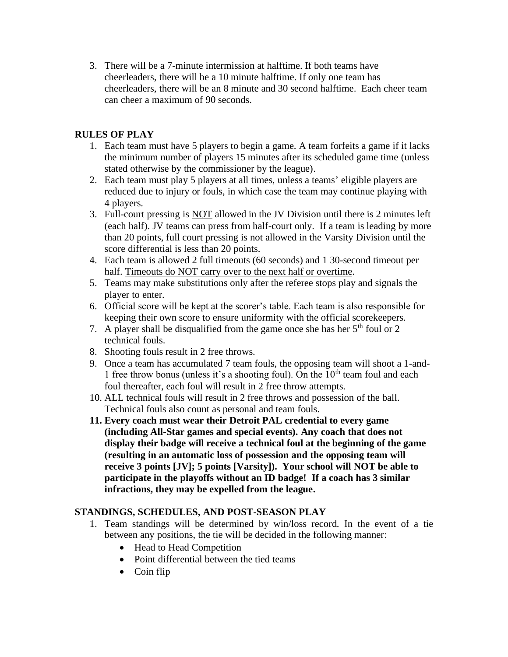3. There will be a 7-minute intermission at halftime. If both teams have cheerleaders, there will be a 10 minute halftime. If only one team has cheerleaders, there will be an 8 minute and 30 second halftime. Each cheer team can cheer a maximum of 90 seconds.

## **RULES OF PLAY**

- 1. Each team must have 5 players to begin a game. A team forfeits a game if it lacks the minimum number of players 15 minutes after its scheduled game time (unless stated otherwise by the commissioner by the league).
- 2. Each team must play 5 players at all times, unless a teams' eligible players are reduced due to injury or fouls, in which case the team may continue playing with 4 players.
- 3. Full-court pressing is NOT allowed in the JV Division until there is 2 minutes left (each half). JV teams can press from half-court only. If a team is leading by more than 20 points, full court pressing is not allowed in the Varsity Division until the score differential is less than 20 points.
- 4. Each team is allowed 2 full timeouts (60 seconds) and 1 30-second timeout per half. Timeouts do NOT carry over to the next half or overtime.
- 5. Teams may make substitutions only after the referee stops play and signals the player to enter.
- 6. Official score will be kept at the scorer's table. Each team is also responsible for keeping their own score to ensure uniformity with the official scorekeepers.
- 7. A player shall be disqualified from the game once she has her  $5<sup>th</sup>$  foul or 2 technical fouls.
- 8. Shooting fouls result in 2 free throws.
- 9. Once a team has accumulated 7 team fouls, the opposing team will shoot a 1-and-1 free throw bonus (unless it's a shooting foul). On the  $10<sup>th</sup>$  team foul and each foul thereafter, each foul will result in 2 free throw attempts.
- 10. ALL technical fouls will result in 2 free throws and possession of the ball. Technical fouls also count as personal and team fouls.
- **11. Every coach must wear their Detroit PAL credential to every game (including All-Star games and special events). Any coach that does not display their badge will receive a technical foul at the beginning of the game (resulting in an automatic loss of possession and the opposing team will receive 3 points [JV]; 5 points [Varsity]). Your school will NOT be able to participate in the playoffs without an ID badge! If a coach has 3 similar infractions, they may be expelled from the league.**

### **STANDINGS, SCHEDULES, AND POST-SEASON PLAY**

- 1. Team standings will be determined by win/loss record. In the event of a tie between any positions, the tie will be decided in the following manner:
	- Head to Head Competition
	- Point differential between the tied teams
	- Coin flip